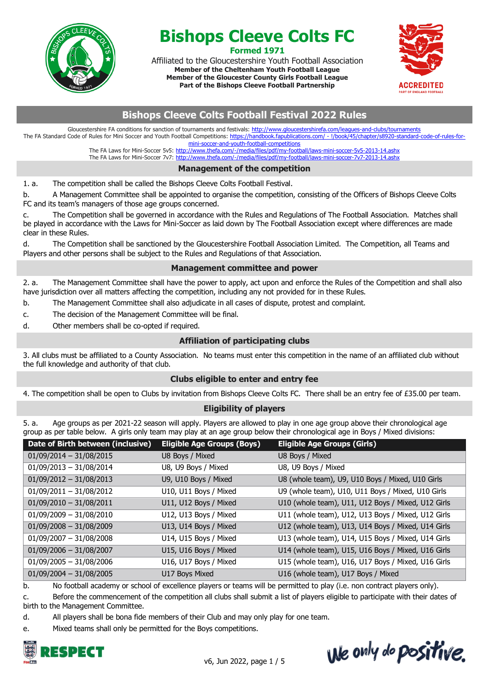

Affiliated to the Gloucestershire Youth Football Association **Member of the Cheltenham Youth Football League Member of the Gloucester County Girls Football League Part of the Bishops Cleeve Football Partnership**



# **Bishops Cleeve Colts Football Festival 2022 Rules**

Gloucestershire FA conditions for sanction of tournaments and festivals:<http://www.gloucestershirefa.com/leagues-and-clubs/tournaments> The FA Standard Code of Rules for Mini Soccer and Youth Football Competitions: https://handbook.fapublications.com/ - [!/book/45/chapter/s8920-standard-code-of-rules-for](https://handbook.fapublications.com/#!/book/45/chapter/s8920-standard-code-of-rules-for-mini-soccer-and-youth-football-competitions)[mini-soccer-and-youth-football-competitions](https://handbook.fapublications.com/#!/book/45/chapter/s8920-standard-code-of-rules-for-mini-soccer-and-youth-football-competitions)

> The FA Laws for Mini-Soccer 5v5:<http://www.thefa.com/-/media/files/pdf/my-football/laws-mini-soccer-5v5-2013-14.ashx> The FA Laws for Mini-Soccer 7v7:<http://www.thefa.com/-/media/files/pdf/my-football/laws-mini-soccer-7v7-2013-14.ashx>

#### **Management of the competition**

1. a. The competition shall be called the Bishops Cleeve Colts Football Festival.

b. A Management Committee shall be appointed to organise the competition, consisting of the Officers of Bishops Cleeve Colts FC and its team's managers of those age groups concerned.

c. The Competition shall be governed in accordance with the Rules and Regulations of The Football Association. Matches shall be played in accordance with the Laws for Mini-Soccer as laid down by The Football Association except where differences are made clear in these Rules.

d. The Competition shall be sanctioned by the Gloucestershire Football Association Limited. The Competition, all Teams and Players and other persons shall be subject to the Rules and Regulations of that Association.

#### **Management committee and power**

2. a. The Management Committee shall have the power to apply, act upon and enforce the Rules of the Competition and shall also have jurisdiction over all matters affecting the competition, including any not provided for in these Rules.

- b. The Management Committee shall also adjudicate in all cases of dispute, protest and complaint.
- c. The decision of the Management Committee will be final.
- d. Other members shall be co-opted if required.

### **Affiliation of participating clubs**

3. All clubs must be affiliated to a County Association. No teams must enter this competition in the name of an affiliated club without the full knowledge and authority of that club.

## **Clubs eligible to enter and entry fee**

4. The competition shall be open to Clubs by invitation from Bishops Cleeve Colts FC. There shall be an entry fee of £35.00 per team.

#### **Eligibility of players**

5. a. Age groups as per 2021-22 season will apply. Players are allowed to play in one age group above their chronological age group as per table below. A girls only team may play at an age group below their chronological age in Boys / Mixed divisions:

| Date of Birth between (inclusive) | <b>Eligible Age Groups (Boys)</b> | <b>Eligible Age Groups (Girls)</b>                 |
|-----------------------------------|-----------------------------------|----------------------------------------------------|
| $01/09/2014 - 31/08/2015$         | U8 Boys / Mixed                   | U8 Boys / Mixed                                    |
| $01/09/2013 - 31/08/2014$         | U8, U9 Boys / Mixed               | U8, U9 Boys / Mixed                                |
| $01/09/2012 - 31/08/2013$         | U9, U10 Boys / Mixed              | U8 (whole team), U9, U10 Boys / Mixed, U10 Girls   |
| $01/09/2011 - 31/08/2012$         | U10, U11 Boys / Mixed             | U9 (whole team), U10, U11 Boys / Mixed, U10 Girls  |
| $01/09/2010 - 31/08/2011$         | U11, U12 Boys / Mixed             | U10 (whole team), U11, U12 Boys / Mixed, U12 Girls |
| $01/09/2009 - 31/08/2010$         | U12, U13 Boys / Mixed             | U11 (whole team), U12, U13 Boys / Mixed, U12 Girls |
| $01/09/2008 - 31/08/2009$         | U13, U14 Boys / Mixed             | U12 (whole team), U13, U14 Boys / Mixed, U14 Girls |
| $01/09/2007 - 31/08/2008$         | U14, U15 Boys / Mixed             | U13 (whole team), U14, U15 Boys / Mixed, U14 Girls |
| $01/09/2006 - 31/08/2007$         | U15, U16 Boys / Mixed             | U14 (whole team), U15, U16 Boys / Mixed, U16 Girls |
| $01/09/2005 - 31/08/2006$         | U16, U17 Boys / Mixed             | U15 (whole team), U16, U17 Boys / Mixed, U16 Girls |
| $01/09/2004 - 31/08/2005$         | U17 Boys Mixed                    | U16 (whole team), U17 Boys / Mixed                 |

b. No football academy or school of excellence players or teams will be permitted to play (i.e. non contract players only).

c. Before the commencement of the competition all clubs shall submit a list of players eligible to participate with their dates of birth to the Management Committee.

d. All players shall be bona fide members of their Club and may only play for one team.

e. Mixed teams shall only be permitted for the Boys competitions.



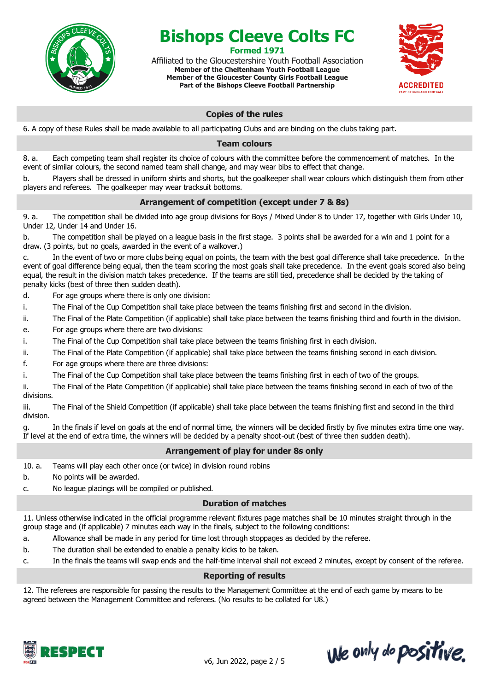

# **Bishops Cleeve Colts FC**

**Formed 1971** Affiliated to the Gloucestershire Youth Football Association **Member of the Cheltenham Youth Football League**

**Member of the Gloucester County Girls Football League Part of the Bishops Cleeve Football Partnership**



#### **Copies of the rules**

6. A copy of these Rules shall be made available to all participating Clubs and are binding on the clubs taking part.

#### **Team colours**

8. a. Each competing team shall register its choice of colours with the committee before the commencement of matches. In the event of similar colours, the second named team shall change, and may wear bibs to effect that change.

b. Players shall be dressed in uniform shirts and shorts, but the goalkeeper shall wear colours which distinguish them from other players and referees. The goalkeeper may wear tracksuit bottoms.

#### **Arrangement of competition (except under 7 & 8s)**

9. a. The competition shall be divided into age group divisions for Boys / Mixed Under 8 to Under 17, together with Girls Under 10, Under 12, Under 14 and Under 16.

b. The competition shall be played on a league basis in the first stage. 3 points shall be awarded for a win and 1 point for a draw. (3 points, but no goals, awarded in the event of a walkover.)

c. In the event of two or more clubs being equal on points, the team with the best goal difference shall take precedence. In the event of goal difference being equal, then the team scoring the most goals shall take precedence. In the event goals scored also being equal, the result in the division match takes precedence. If the teams are still tied, precedence shall be decided by the taking of penalty kicks (best of three then sudden death).

d. For age groups where there is only one division:

- i. The Final of the Cup Competition shall take place between the teams finishing first and second in the division.
- ii. The Final of the Plate Competition (if applicable) shall take place between the teams finishing third and fourth in the division.
- e. For age groups where there are two divisions:
- i. The Final of the Cup Competition shall take place between the teams finishing first in each division.
- ii. The Final of the Plate Competition (if applicable) shall take place between the teams finishing second in each division.
- f. For age groups where there are three divisions:
- i. The Final of the Cup Competition shall take place between the teams finishing first in each of two of the groups.

ii. The Final of the Plate Competition (if applicable) shall take place between the teams finishing second in each of two of the divisions.

iii. The Final of the Shield Competition (if applicable) shall take place between the teams finishing first and second in the third division.

g. In the finals if level on goals at the end of normal time, the winners will be decided firstly by five minutes extra time one way. If level at the end of extra time, the winners will be decided by a penalty shoot-out (best of three then sudden death).

#### **Arrangement of play for under 8s only**

- 10. a. Teams will play each other once (or twice) in division round robins
- b. No points will be awarded.
- c. No league placings will be compiled or published.

#### **Duration of matches**

11. Unless otherwise indicated in the official programme relevant fixtures page matches shall be 10 minutes straight through in the group stage and (if applicable) 7 minutes each way in the finals, subject to the following conditions:

- a. Allowance shall be made in any period for time lost through stoppages as decided by the referee.
- b. The duration shall be extended to enable a penalty kicks to be taken.
- c. In the finals the teams will swap ends and the half-time interval shall not exceed 2 minutes, except by consent of the referee.

#### **Reporting of results**

12. The referees are responsible for passing the results to the Management Committee at the end of each game by means to be agreed between the Management Committee and referees. (No results to be collated for U8.)



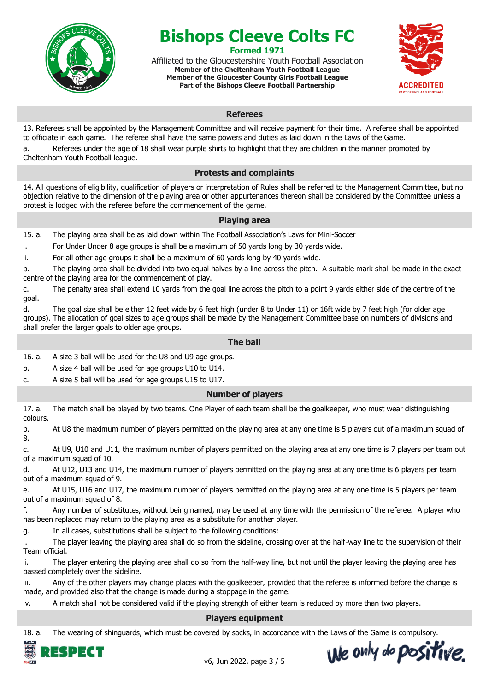

Affiliated to the Gloucestershire Youth Football Association **Member of the Cheltenham Youth Football League Member of the Gloucester County Girls Football League Part of the Bishops Cleeve Football Partnership**



## **Referees**

13. Referees shall be appointed by the Management Committee and will receive payment for their time. A referee shall be appointed to officiate in each game. The referee shall have the same powers and duties as laid down in the Laws of the Game.

a. Referees under the age of 18 shall wear purple shirts to highlight that they are children in the manner promoted by Cheltenham Youth Football league.

#### **Protests and complaints**

14. All questions of eligibility, qualification of players or interpretation of Rules shall be referred to the Management Committee, but no objection relative to the dimension of the playing area or other appurtenances thereon shall be considered by the Committee unless a protest is lodged with the referee before the commencement of the game.

#### **Playing area**

15. a. The playing area shall be as laid down within The Football Association's Laws for Mini-Soccer

i. For Under Under 8 age groups is shall be a maximum of 50 yards long by 30 yards wide.

ii. For all other age groups it shall be a maximum of 60 yards long by 40 yards wide.

b. The playing area shall be divided into two equal halves by a line across the pitch. A suitable mark shall be made in the exact centre of the playing area for the commencement of play.

c. The penalty area shall extend 10 yards from the goal line across the pitch to a point 9 yards either side of the centre of the goal.

d. The goal size shall be either 12 feet wide by 6 feet high (under 8 to Under 11) or 16ft wide by 7 feet high (for older age groups). The allocation of goal sizes to age groups shall be made by the Management Committee base on numbers of divisions and shall prefer the larger goals to older age groups.

#### **The ball**

16. a. A size 3 ball will be used for the U8 and U9 age groups.

b. A size 4 ball will be used for age groups U10 to U14.

c. A size 5 ball will be used for age groups U15 to U17.

#### **Number of players**

17. a. The match shall be played by two teams. One Player of each team shall be the goalkeeper, who must wear distinguishing colours.

b. At U8 the maximum number of players permitted on the playing area at any one time is 5 players out of a maximum squad of 8.

c. At U9, U10 and U11, the maximum number of players permitted on the playing area at any one time is 7 players per team out of a maximum squad of 10.

d. At U12, U13 and U14, the maximum number of players permitted on the playing area at any one time is 6 players per team out of a maximum squad of 9.

e. At U15, U16 and U17, the maximum number of players permitted on the playing area at any one time is 5 players per team out of a maximum squad of 8.

f. Any number of substitutes, without being named, may be used at any time with the permission of the referee. A player who has been replaced may return to the playing area as a substitute for another player.

g. In all cases, substitutions shall be subject to the following conditions:

i. The player leaving the playing area shall do so from the sideline, crossing over at the half-way line to the supervision of their Team official.

ii. The player entering the playing area shall do so from the half-way line, but not until the player leaving the playing area has passed completely over the sideline.

iii. Any of the other players may change places with the goalkeeper, provided that the referee is informed before the change is made, and provided also that the change is made during a stoppage in the game.

iv. A match shall not be considered valid if the playing strength of either team is reduced by more than two players.

#### **Players equipment**

18. a. The wearing of shinguards, which must be covered by socks, in accordance with the Laws of the Game is compulsory.



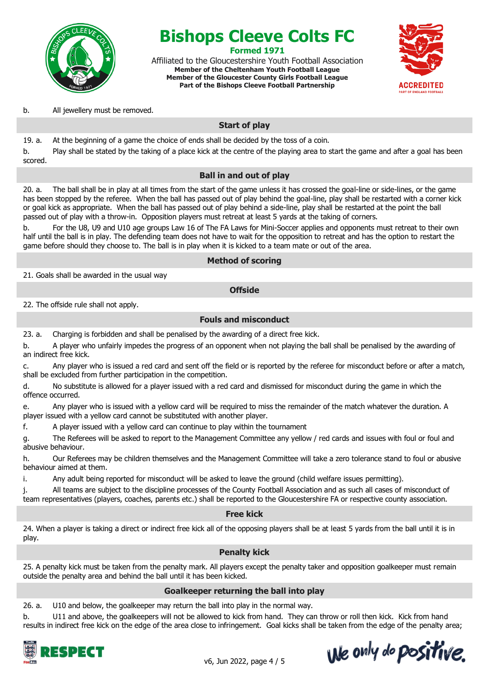

Affiliated to the Gloucestershire Youth Football Association **Member of the Cheltenham Youth Football League Member of the Gloucester County Girls Football League Part of the Bishops Cleeve Football Partnership**



b. All jewellery must be removed.

# **Start of play**

19. a. At the beginning of a game the choice of ends shall be decided by the toss of a coin.

b. Play shall be stated by the taking of a place kick at the centre of the playing area to start the game and after a goal has been scored.

# **Ball in and out of play**

20. a. The ball shall be in play at all times from the start of the game unless it has crossed the goal-line or side-lines, or the game has been stopped by the referee. When the ball has passed out of play behind the goal-line, play shall be restarted with a corner kick or goal kick as appropriate. When the ball has passed out of play behind a side-line, play shall be restarted at the point the ball passed out of play with a throw-in. Opposition players must retreat at least 5 yards at the taking of corners.

b. For the U8, U9 and U10 age groups Law 16 of The FA Laws for Mini-Soccer applies and opponents must retreat to their own half until the ball is in play. The defending team does not have to wait for the opposition to retreat and has the option to restart the game before should they choose to. The ball is in play when it is kicked to a team mate or out of the area.

#### **Method of scoring**

21. Goals shall be awarded in the usual way

## **Offside**

22. The offside rule shall not apply.

# **Fouls and misconduct**

23. a. Charging is forbidden and shall be penalised by the awarding of a direct free kick.

b. A player who unfairly impedes the progress of an opponent when not playing the ball shall be penalised by the awarding of an indirect free kick.

c. Any player who is issued a red card and sent off the field or is reported by the referee for misconduct before or after a match, shall be excluded from further participation in the competition.

d. No substitute is allowed for a player issued with a red card and dismissed for misconduct during the game in which the offence occurred.

e. Any player who is issued with a yellow card will be required to miss the remainder of the match whatever the duration. A player issued with a yellow card cannot be substituted with another player.

f. A player issued with a yellow card can continue to play within the tournament

g. The Referees will be asked to report to the Management Committee any yellow / red cards and issues with foul or foul and abusive behaviour.

h. Our Referees may be children themselves and the Management Committee will take a zero tolerance stand to foul or abusive behaviour aimed at them.

i. Any adult being reported for misconduct will be asked to leave the ground (child welfare issues permitting).

j. All teams are subject to the discipline processes of the County Football Association and as such all cases of misconduct of team representatives (players, coaches, parents etc.) shall be reported to the Gloucestershire FA or respective county association.

# **Free kick**

24. When a player is taking a direct or indirect free kick all of the opposing players shall be at least 5 yards from the ball until it is in play.

# **Penalty kick**

25. A penalty kick must be taken from the penalty mark. All players except the penalty taker and opposition goalkeeper must remain outside the penalty area and behind the ball until it has been kicked.

# **Goalkeeper returning the ball into play**

26. a. U10 and below, the goalkeeper may return the ball into play in the normal way.

b. U11 and above, the goalkeepers will not be allowed to kick from hand. They can throw or roll then kick. Kick from hand results in indirect free kick on the edge of the area close to infringement. Goal kicks shall be taken from the edge of the penalty area;